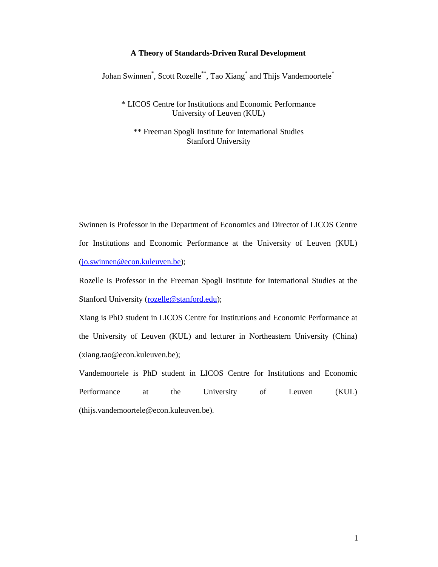### **A Theory of Standards-Driven Rural Development**

Johan Swinnen<sup>\*</sup>, Scott Rozelle<sup>\*\*</sup>, Tao Xiang<sup>\*</sup> and Thijs Vandemoortele<sup>\*</sup>

\* LICOS Centre for Institutions and Economic Performance University of Leuven (KUL)

\*\* Freeman Spogli Institute for International Studies Stanford University

Swinnen is Professor in the Department of Economics and Director of LICOS Centre for Institutions and Economic Performance at the University of Leuven (KUL) (jo.swinnen@econ.kuleuven.be);

Rozelle is Professor in the Freeman Spogli Institute for International Studies at the Stanford University (rozelle@stanford.edu);

Xiang is PhD student in LICOS Centre for Institutions and Economic Performance at the University of Leuven (KUL) and lecturer in Northeastern University (China) (xiang.tao@econ.kuleuven.be);

Vandemoortele is PhD student in LICOS Centre for Institutions and Economic Performance at the University of Leuven (KUL) (thijs.vandemoortele@econ.kuleuven.be).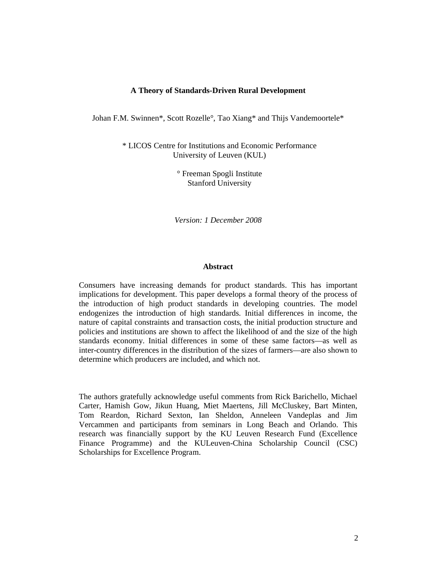## **A Theory of Standards-Driven Rural Development**

Johan F.M. Swinnen\*, Scott Rozelle°, Tao Xiang\* and Thijs Vandemoortele\*

\* LICOS Centre for Institutions and Economic Performance University of Leuven (KUL)

> ° Freeman Spogli Institute Stanford University

*Version: 1 December 2008* 

#### **Abstract**

Consumers have increasing demands for product standards. This has important implications for development. This paper develops a formal theory of the process of the introduction of high product standards in developing countries. The model endogenizes the introduction of high standards. Initial differences in income, the nature of capital constraints and transaction costs, the initial production structure and policies and institutions are shown to affect the likelihood of and the size of the high standards economy. Initial differences in some of these same factors—as well as inter-country differences in the distribution of the sizes of farmers—are also shown to determine which producers are included, and which not.

The authors gratefully acknowledge useful comments from Rick Barichello, Michael Carter, Hamish Gow, Jikun Huang, Miet Maertens, Jill McCluskey, Bart Minten, Tom Reardon, Richard Sexton, Ian Sheldon, Anneleen Vandeplas and Jim Vercammen and participants from seminars in Long Beach and Orlando. This research was financially support by the KU Leuven Research Fund (Excellence Finance Programme) and the KULeuven-China Scholarship Council (CSC) Scholarships for Excellence Program.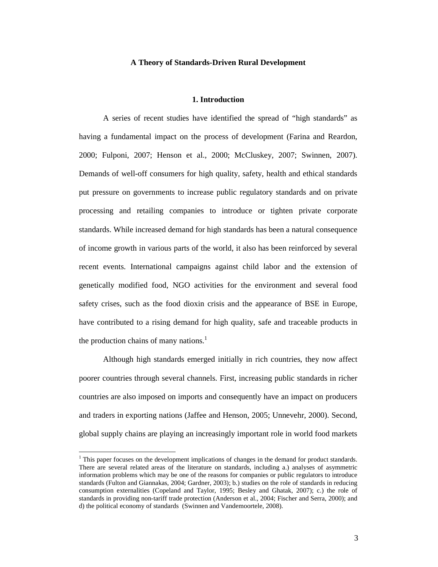#### **A Theory of Standards-Driven Rural Development**

#### **1. Introduction**

A series of recent studies have identified the spread of "high standards" as having a fundamental impact on the process of development (Farina and Reardon, 2000; Fulponi, 2007; Henson et al., 2000; McCluskey, 2007; Swinnen, 2007). Demands of well-off consumers for high quality, safety, health and ethical standards put pressure on governments to increase public regulatory standards and on private processing and retailing companies to introduce or tighten private corporate standards. While increased demand for high standards has been a natural consequence of income growth in various parts of the world, it also has been reinforced by several recent events. International campaigns against child labor and the extension of genetically modified food, NGO activities for the environment and several food safety crises, such as the food dioxin crisis and the appearance of BSE in Europe, have contributed to a rising demand for high quality, safe and traceable products in the production chains of many nations. $<sup>1</sup>$ </sup>

 Although high standards emerged initially in rich countries, they now affect poorer countries through several channels. First, increasing public standards in richer countries are also imposed on imports and consequently have an impact on producers and traders in exporting nations (Jaffee and Henson, 2005; Unnevehr, 2000). Second, global supply chains are playing an increasingly important role in world food markets

<sup>&</sup>lt;sup>1</sup> This paper focuses on the development implications of changes in the demand for product standards. There are several related areas of the literature on standards, including a.) analyses of asymmetric information problems which may be one of the reasons for companies or public regulators to introduce standards (Fulton and Giannakas, 2004; Gardner, 2003); b.) studies on the role of standards in reducing consumption externalities (Copeland and Taylor, 1995; Besley and Ghatak, 2007); c.) the role of standards in providing non-tariff trade protection (Anderson et al., 2004; Fischer and Serra, 2000); and d) the political economy of standards (Swinnen and Vandemoortele, 2008).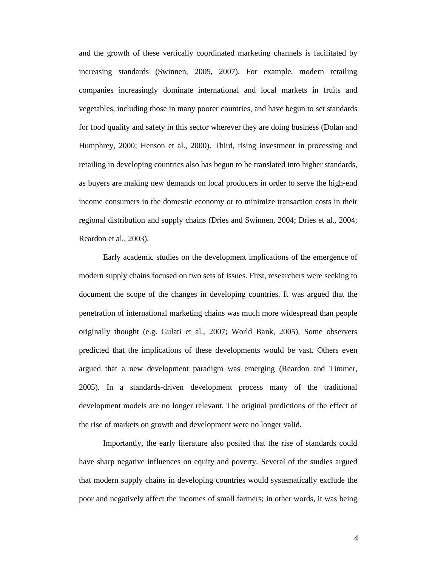and the growth of these vertically coordinated marketing channels is facilitated by increasing standards (Swinnen, 2005, 2007). For example, modern retailing companies increasingly dominate international and local markets in fruits and vegetables, including those in many poorer countries, and have begun to set standards for food quality and safety in this sector wherever they are doing business (Dolan and Humphrey, 2000; Henson et al., 2000). Third, rising investment in processing and retailing in developing countries also has begun to be translated into higher standards, as buyers are making new demands on local producers in order to serve the high-end income consumers in the domestic economy or to minimize transaction costs in their regional distribution and supply chains (Dries and Swinnen, 2004; Dries et al., 2004; Reardon et al., 2003).

 Early academic studies on the development implications of the emergence of modern supply chains focused on two sets of issues. First, researchers were seeking to document the scope of the changes in developing countries. It was argued that the penetration of international marketing chains was much more widespread than people originally thought (e.g. Gulati et al., 2007; World Bank, 2005). Some observers predicted that the implications of these developments would be vast. Others even argued that a new development paradigm was emerging (Reardon and Timmer, 2005). In a standards-driven development process many of the traditional development models are no longer relevant. The original predictions of the effect of the rise of markets on growth and development were no longer valid.

 Importantly, the early literature also posited that the rise of standards could have sharp negative influences on equity and poverty. Several of the studies argued that modern supply chains in developing countries would systematically exclude the poor and negatively affect the incomes of small farmers; in other words, it was being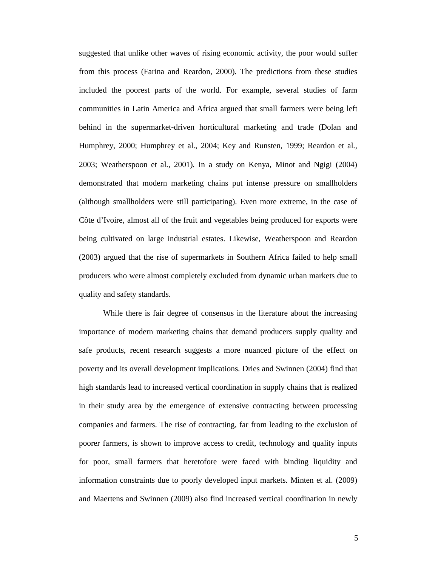suggested that unlike other waves of rising economic activity, the poor would suffer from this process (Farina and Reardon, 2000). The predictions from these studies included the poorest parts of the world. For example, several studies of farm communities in Latin America and Africa argued that small farmers were being left behind in the supermarket-driven horticultural marketing and trade (Dolan and Humphrey, 2000; Humphrey et al., 2004; Key and Runsten, 1999; Reardon et al., 2003; Weatherspoon et al., 2001). In a study on Kenya, Minot and Ngigi (2004) demonstrated that modern marketing chains put intense pressure on smallholders (although smallholders were still participating). Even more extreme, in the case of Côte d'Ivoire, almost all of the fruit and vegetables being produced for exports were being cultivated on large industrial estates. Likewise, Weatherspoon and Reardon (2003) argued that the rise of supermarkets in Southern Africa failed to help small producers who were almost completely excluded from dynamic urban markets due to quality and safety standards.

 While there is fair degree of consensus in the literature about the increasing importance of modern marketing chains that demand producers supply quality and safe products, recent research suggests a more nuanced picture of the effect on poverty and its overall development implications. Dries and Swinnen (2004) find that high standards lead to increased vertical coordination in supply chains that is realized in their study area by the emergence of extensive contracting between processing companies and farmers. The rise of contracting, far from leading to the exclusion of poorer farmers, is shown to improve access to credit, technology and quality inputs for poor, small farmers that heretofore were faced with binding liquidity and information constraints due to poorly developed input markets. Minten et al. (2009) and Maertens and Swinnen (2009) also find increased vertical coordination in newly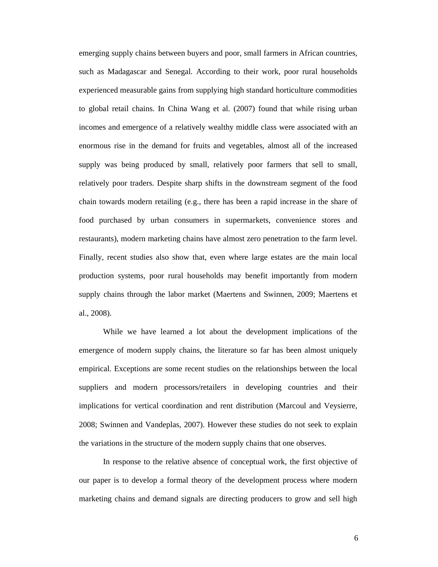emerging supply chains between buyers and poor, small farmers in African countries, such as Madagascar and Senegal. According to their work, poor rural households experienced measurable gains from supplying high standard horticulture commodities to global retail chains. In China Wang et al. (2007) found that while rising urban incomes and emergence of a relatively wealthy middle class were associated with an enormous rise in the demand for fruits and vegetables, almost all of the increased supply was being produced by small, relatively poor farmers that sell to small, relatively poor traders. Despite sharp shifts in the downstream segment of the food chain towards modern retailing (e.g., there has been a rapid increase in the share of food purchased by urban consumers in supermarkets, convenience stores and restaurants), modern marketing chains have almost zero penetration to the farm level. Finally, recent studies also show that, even where large estates are the main local production systems, poor rural households may benefit importantly from modern supply chains through the labor market (Maertens and Swinnen, 2009; Maertens et al., 2008).

While we have learned a lot about the development implications of the emergence of modern supply chains, the literature so far has been almost uniquely empirical. Exceptions are some recent studies on the relationships between the local suppliers and modern processors/retailers in developing countries and their implications for vertical coordination and rent distribution (Marcoul and Veysierre, 2008; Swinnen and Vandeplas, 2007). However these studies do not seek to explain the variations in the structure of the modern supply chains that one observes.

In response to the relative absence of conceptual work, the first objective of our paper is to develop a formal theory of the development process where modern marketing chains and demand signals are directing producers to grow and sell high

6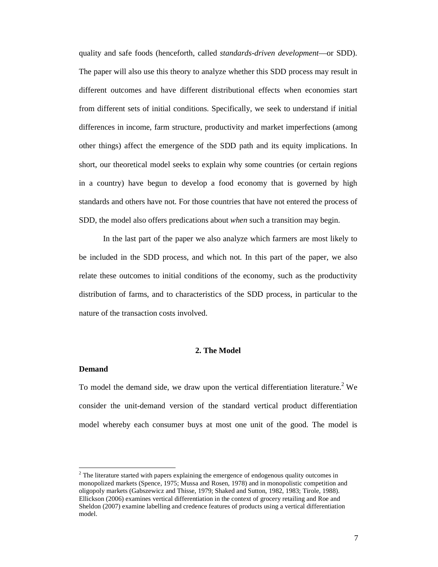quality and safe foods (henceforth, called *standards-driven development*—or SDD). The paper will also use this theory to analyze whether this SDD process may result in different outcomes and have different distributional effects when economies start from different sets of initial conditions. Specifically, we seek to understand if initial differences in income, farm structure, productivity and market imperfections (among other things) affect the emergence of the SDD path and its equity implications. In short, our theoretical model seeks to explain why some countries (or certain regions in a country) have begun to develop a food economy that is governed by high standards and others have not. For those countries that have not entered the process of SDD, the model also offers predications about *when* such a transition may begin.

In the last part of the paper we also analyze which farmers are most likely to be included in the SDD process, and which not. In this part of the paper, we also relate these outcomes to initial conditions of the economy, such as the productivity distribution of farms, and to characteristics of the SDD process, in particular to the nature of the transaction costs involved.

# **2. The Model**

#### **Demand**

 $\overline{a}$ 

To model the demand side, we draw upon the vertical differentiation literature.<sup>2</sup> We consider the unit-demand version of the standard vertical product differentiation model whereby each consumer buys at most one unit of the good. The model is

 $2<sup>2</sup>$  The literature started with papers explaining the emergence of endogenous quality outcomes in monopolized markets (Spence, 1975; Mussa and Rosen, 1978) and in monopolistic competition and oligopoly markets (Gabszewicz and Thisse, 1979; Shaked and Sutton, 1982, 1983; Tirole, 1988). Ellickson (2006) examines vertical differentiation in the context of grocery retailing and Roe and Sheldon (2007) examine labelling and credence features of products using a vertical differentiation model.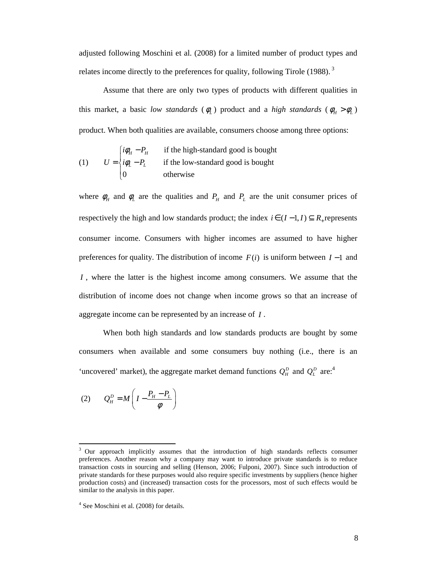adjusted following Moschini et al. (2008) for a limited number of product types and relates income directly to the preferences for quality, following Tirole (1988).<sup>3</sup>

Assume that there are only two types of products with different qualities in this market, a basic *low standards* ( $\phi$ <sub>L</sub>) product and a *high standards* ( $\phi$ <sub>H</sub> >  $\phi$ <sub>L</sub>) product. When both qualities are available, consumers choose among three options:

(1) 
$$
U = \begin{cases} i\phi_H - P_H & \text{if the high-standard good is bought} \\ i\phi_L - P_L & \text{if the low-standard good is bought} \\ 0 & \text{otherwise} \end{cases}
$$

where  $\phi_H$  and  $\phi_L$  are the qualities and  $P_H$  and  $P_L$  are the unit consumer prices of respectively the high and low standards product; the index  $i \in (I-1, I) \subseteq R$  represents consumer income. Consumers with higher incomes are assumed to have higher preferences for quality. The distribution of income  $F(i)$  is uniform between  $I-1$  and *I*, where the latter is the highest income among consumers. We assume that the distribution of income does not change when income grows so that an increase of aggregate income can be represented by an increase of *I* .

When both high standards and low standards products are bought by some consumers when available and some consumers buy nothing (i.e., there is an 'uncovered' market), the aggregate market demand functions  $Q_H^D$  and  $Q_L^D$  are:<sup>4</sup>

$$
(2) \qquad Q_H^P = M \left( I - \frac{P_H - P_L}{\phi} \right)
$$

<sup>3</sup> Our approach implicitly assumes that the introduction of high standards reflects consumer preferences. Another reason why a company may want to introduce private standards is to reduce transaction costs in sourcing and selling (Henson, 2006; Fulponi, 2007). Since such introduction of private standards for these purposes would also require specific investments by suppliers (hence higher production costs) and (increased) transaction costs for the processors, most of such effects would be similar to the analysis in this paper.

<sup>4</sup> See Moschini et al. (2008) for details.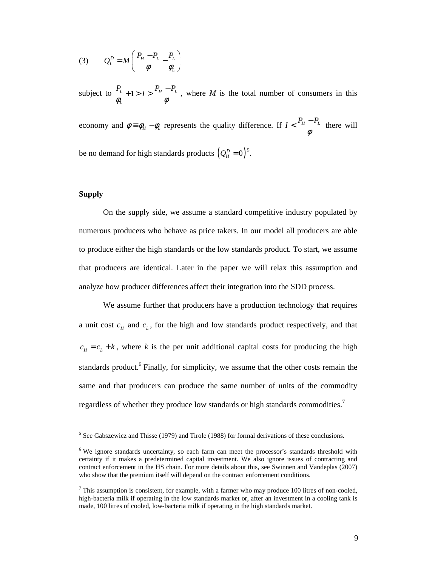$$
(3) \qquad Q_L^D = M \left( \frac{P_H - P_L}{\phi} - \frac{P_L}{\phi_L} \right)
$$

subject to  $\frac{I_L}{I} + 1 > I > \frac{I_H - I_L}{I}$ *L*  $P_{L}$  + 1 > *I* >  $\frac{P_{H} - P_{I}}{P_{I}}$  $\phi_L$   $\phi$  $+1 > I > \frac{P_H - P_L}{I}$ , where *M* is the total number of consumers in this economy and  $\phi = \phi_H - \phi_L$  represents the quality difference. If  $I < \frac{P_H - P_L}{\phi}$  $\langle \frac{P_H - P_L}{I} \rangle$  there will

be no demand for high standards products  $(Q_H^D = 0)^5$ .

## **Supply**

On the supply side, we assume a standard competitive industry populated by numerous producers who behave as price takers. In our model all producers are able to produce either the high standards or the low standards product. To start, we assume that producers are identical. Later in the paper we will relax this assumption and analyze how producer differences affect their integration into the SDD process.

We assume further that producers have a production technology that requires a unit cost  $c_H$  and  $c_L$ , for the high and low standards product respectively, and that  $c_H = c_L + k$ , where *k* is the per unit additional capital costs for producing the high standards product.<sup>6</sup> Finally, for simplicity, we assume that the other costs remain the same and that producers can produce the same number of units of the commodity regardless of whether they produce low standards or high standards commodities.<sup>7</sup>

<sup>&</sup>lt;sup>5</sup> See Gabszewicz and Thisse (1979) and Tirole (1988) for formal derivations of these conclusions.

<sup>&</sup>lt;sup>6</sup> We ignore standards uncertainty, so each farm can meet the processor's standards threshold with certainty if it makes a predetermined capital investment. We also ignore issues of contracting and contract enforcement in the HS chain. For more details about this, see Swinnen and Vandeplas (2007) who show that the premium itself will depend on the contract enforcement conditions.

 $<sup>7</sup>$  This assumption is consistent, for example, with a farmer who may produce 100 litres of non-cooled,</sup> high-bacteria milk if operating in the low standards market or, after an investment in a cooling tank is made, 100 litres of cooled, low-bacteria milk if operating in the high standards market.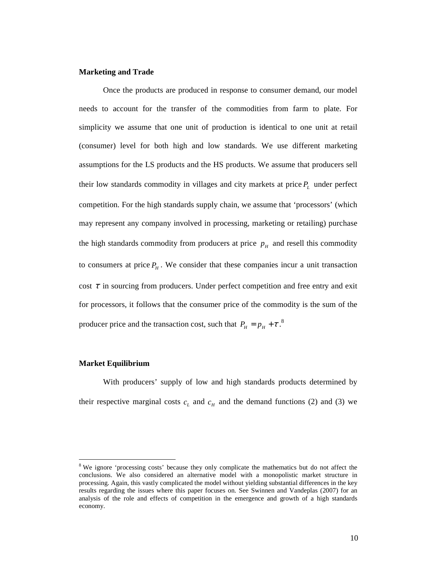#### **Marketing and Trade**

Once the products are produced in response to consumer demand, our model needs to account for the transfer of the commodities from farm to plate. For simplicity we assume that one unit of production is identical to one unit at retail (consumer) level for both high and low standards. We use different marketing assumptions for the LS products and the HS products. We assume that producers sell their low standards commodity in villages and city markets at price *P<sup>L</sup>* under perfect competition. For the high standards supply chain, we assume that 'processors' (which may represent any company involved in processing, marketing or retailing) purchase the high standards commodity from producers at price  $p<sub>H</sub>$  and resell this commodity to consumers at price  $P_H$ . We consider that these companies incur a unit transaction cost  $\tau$  in sourcing from producers. Under perfect competition and free entry and exit for processors, it follows that the consumer price of the commodity is the sum of the producer price and the transaction cost, such that  $P_H = p_H + \tau$ .<sup>8</sup>

## **Market Equilibrium**

 $\overline{a}$ 

With producers' supply of low and high standards products determined by their respective marginal costs  $c<sub>L</sub>$  and  $c<sub>H</sub>$  and the demand functions (2) and (3) we

<sup>&</sup>lt;sup>8</sup> We ignore 'processing costs' because they only complicate the mathematics but do not affect the conclusions. We also considered an alternative model with a monopolistic market structure in processing. Again, this vastly complicated the model without yielding substantial differences in the key results regarding the issues where this paper focuses on. See Swinnen and Vandeplas (2007) for an analysis of the role and effects of competition in the emergence and growth of a high standards economy.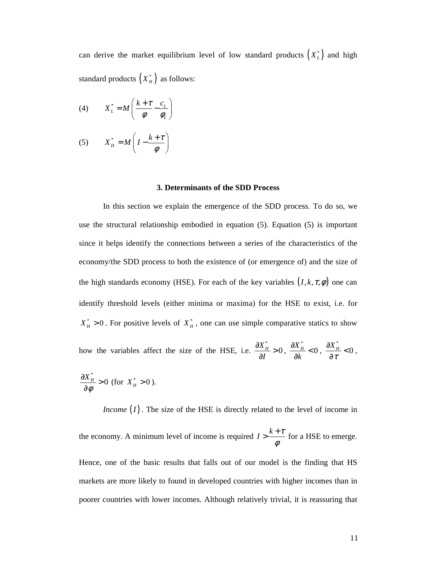can derive the market equilibrium level of low standard products  $(X_L^*)$  and high standard products  $(X_H^*)$  as follows:

$$
(4) \tX_L^* = M \left( \frac{k + \tau}{\phi} - \frac{c_L}{\phi_L} \right)
$$

(5) 
$$
X_H^* = M \left( I - \frac{k + \tau}{\phi} \right)
$$

#### **3. Determinants of the SDD Process**

In this section we explain the emergence of the SDD process. To do so, we use the structural relationship embodied in equation (5). Equation (5) is important since it helps identify the connections between a series of the characteristics of the economy/the SDD process to both the existence of (or emergence of) and the size of the high standards economy (HSE). For each of the key variables  $(I, k, \tau, \phi)$  one can identify threshold levels (either minima or maxima) for the HSE to exist, i.e. for  $X_H^* > 0$ . For positive levels of  $X_H^*$ , one can use simple comparative statics to show how the variables affect the size of the HSE, i.e. \*  $\frac{X_{H}^{*}}{X} > 0$ *I*  $\frac{\partial X_{H}^{*}}{\partial x}$  > ∂ , \*  $\frac{X_{H}^{*}}{X_{H}}$  < 0 *k*  $\frac{\partial X_{H}^{*}}{\partial I}$ < ∂ , \*  $\frac{X_{H}^{*}}{2}$  < 0 τ  $\frac{\partial X^*_{\scriptscriptstyle H}}{\partial x^*}$ ∂ , \*  $\frac{X_{H}^{*}}{2} > 0$ φ  $\frac{\partial X_{H}^{*}}{\partial x_{H}}$ ∂ (for  $X_H^* > 0$ ).

*Income* (*I*). The size of the HSE is directly related to the level of income in the economy. A minimum level of income is required  $I > \frac{k+\tau}{\tau}$ φ  $>\frac{k+\tau}{\tau}$  for a HSE to emerge. Hence, one of the basic results that falls out of our model is the finding that HS markets are more likely to found in developed countries with higher incomes than in poorer countries with lower incomes. Although relatively trivial, it is reassuring that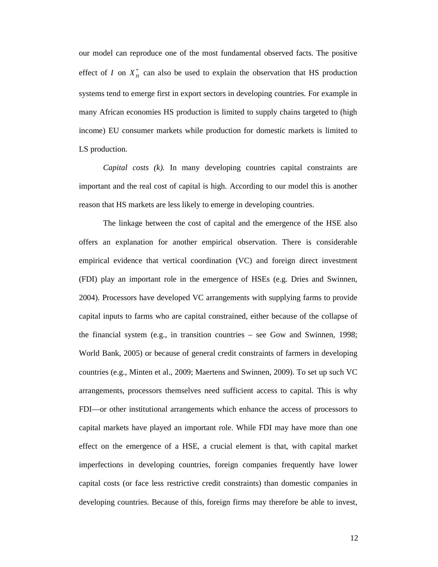our model can reproduce one of the most fundamental observed facts. The positive effect of *I* on  $X_H^*$  can also be used to explain the observation that HS production systems tend to emerge first in export sectors in developing countries. For example in many African economies HS production is limited to supply chains targeted to (high income) EU consumer markets while production for domestic markets is limited to LS production.

*Capital costs (k).* In many developing countries capital constraints are important and the real cost of capital is high. According to our model this is another reason that HS markets are less likely to emerge in developing countries.

The linkage between the cost of capital and the emergence of the HSE also offers an explanation for another empirical observation. There is considerable empirical evidence that vertical coordination (VC) and foreign direct investment (FDI) play an important role in the emergence of HSEs (e.g. Dries and Swinnen, 2004). Processors have developed VC arrangements with supplying farms to provide capital inputs to farms who are capital constrained, either because of the collapse of the financial system (e.g., in transition countries – see Gow and Swinnen, 1998; World Bank, 2005) or because of general credit constraints of farmers in developing countries (e.g., Minten et al., 2009; Maertens and Swinnen, 2009). To set up such VC arrangements, processors themselves need sufficient access to capital. This is why FDI—or other institutional arrangements which enhance the access of processors to capital markets have played an important role. While FDI may have more than one effect on the emergence of a HSE, a crucial element is that, with capital market imperfections in developing countries, foreign companies frequently have lower capital costs (or face less restrictive credit constraints) than domestic companies in developing countries. Because of this, foreign firms may therefore be able to invest,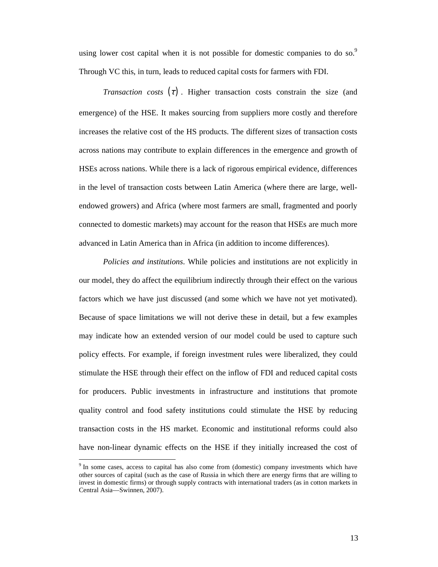using lower cost capital when it is not possible for domestic companies to do so.<sup>9</sup> Through VC this, in turn, leads to reduced capital costs for farmers with FDI.

*Transaction costs*  $(\tau)$ . Higher transaction costs constrain the size (and emergence) of the HSE. It makes sourcing from suppliers more costly and therefore increases the relative cost of the HS products. The different sizes of transaction costs across nations may contribute to explain differences in the emergence and growth of HSEs across nations. While there is a lack of rigorous empirical evidence, differences in the level of transaction costs between Latin America (where there are large, wellendowed growers) and Africa (where most farmers are small, fragmented and poorly connected to domestic markets) may account for the reason that HSEs are much more advanced in Latin America than in Africa (in addition to income differences).

*Policies and institutions*. While policies and institutions are not explicitly in our model, they do affect the equilibrium indirectly through their effect on the various factors which we have just discussed (and some which we have not yet motivated). Because of space limitations we will not derive these in detail, but a few examples may indicate how an extended version of our model could be used to capture such policy effects. For example, if foreign investment rules were liberalized, they could stimulate the HSE through their effect on the inflow of FDI and reduced capital costs for producers. Public investments in infrastructure and institutions that promote quality control and food safety institutions could stimulate the HSE by reducing transaction costs in the HS market. Economic and institutional reforms could also have non-linear dynamic effects on the HSE if they initially increased the cost of

<sup>&</sup>lt;sup>9</sup> In some cases, access to capital has also come from (domestic) company investments which have other sources of capital (such as the case of Russia in which there are energy firms that are willing to invest in domestic firms) or through supply contracts with international traders (as in cotton markets in Central Asia—Swinnen, 2007).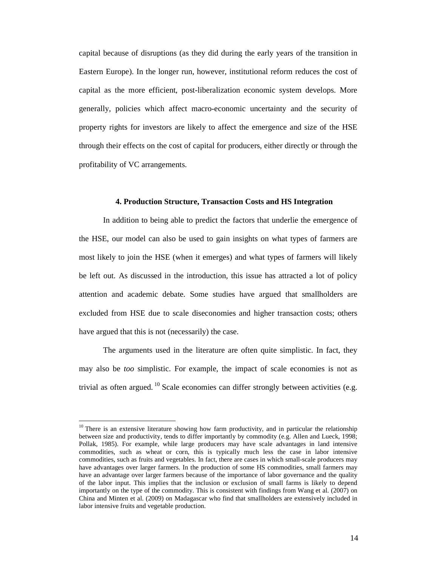capital because of disruptions (as they did during the early years of the transition in Eastern Europe). In the longer run, however, institutional reform reduces the cost of capital as the more efficient, post-liberalization economic system develops. More generally, policies which affect macro-economic uncertainty and the security of property rights for investors are likely to affect the emergence and size of the HSE through their effects on the cost of capital for producers, either directly or through the profitability of VC arrangements.

### **4. Production Structure, Transaction Costs and HS Integration**

In addition to being able to predict the factors that underlie the emergence of the HSE, our model can also be used to gain insights on what types of farmers are most likely to join the HSE (when it emerges) and what types of farmers will likely be left out. As discussed in the introduction, this issue has attracted a lot of policy attention and academic debate. Some studies have argued that smallholders are excluded from HSE due to scale diseconomies and higher transaction costs; others have argued that this is not (necessarily) the case.

The arguments used in the literature are often quite simplistic. In fact, they may also be *too* simplistic. For example, the impact of scale economies is not as trivial as often argued.<sup>10</sup> Scale economies can differ strongly between activities (e.g.

<sup>&</sup>lt;sup>10</sup> There is an extensive literature showing how farm productivity, and in particular the relationship between size and productivity, tends to differ importantly by commodity (e.g. Allen and Lueck, 1998; Pollak, 1985). For example, while large producers may have scale advantages in land intensive commodities, such as wheat or corn, this is typically much less the case in labor intensive commodities, such as fruits and vegetables. In fact, there are cases in which small-scale producers may have advantages over larger farmers. In the production of some HS commodities, small farmers may have an advantage over larger farmers because of the importance of labor governance and the quality of the labor input. This implies that the inclusion or exclusion of small farms is likely to depend importantly on the type of the commodity. This is consistent with findings from Wang et al. (2007) on China and Minten et al. (2009) on Madagascar who find that smallholders are extensively included in labor intensive fruits and vegetable production.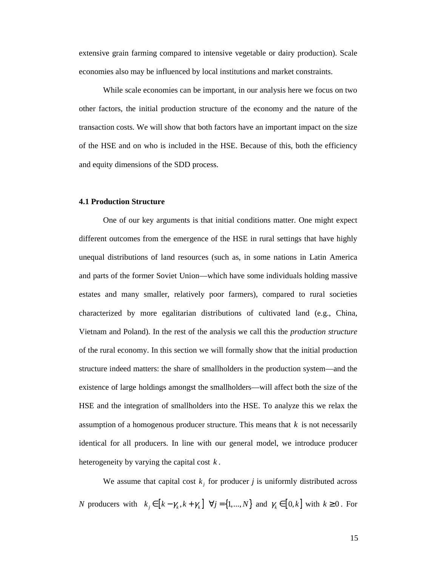extensive grain farming compared to intensive vegetable or dairy production). Scale economies also may be influenced by local institutions and market constraints.

While scale economies can be important, in our analysis here we focus on two other factors, the initial production structure of the economy and the nature of the transaction costs. We will show that both factors have an important impact on the size of the HSE and on who is included in the HSE. Because of this, both the efficiency and equity dimensions of the SDD process.

### **4.1 Production Structure**

One of our key arguments is that initial conditions matter. One might expect different outcomes from the emergence of the HSE in rural settings that have highly unequal distributions of land resources (such as, in some nations in Latin America and parts of the former Soviet Union—which have some individuals holding massive estates and many smaller, relatively poor farmers), compared to rural societies characterized by more egalitarian distributions of cultivated land (e.g., China, Vietnam and Poland). In the rest of the analysis we call this the *production structure* of the rural economy. In this section we will formally show that the initial production structure indeed matters: the share of smallholders in the production system—and the existence of large holdings amongst the smallholders—will affect both the size of the HSE and the integration of smallholders into the HSE. To analyze this we relax the assumption of a homogenous producer structure. This means that *k* is not necessarily identical for all producers. In line with our general model, we introduce producer heterogeneity by varying the capital cost *k* .

We assume that capital cost  $k_j$  for producer *j* is uniformly distributed across *N* producers with  $k_j \in [k - \gamma_k, k + \gamma_k]$   $\forall j = \{1, ..., N\}$  and  $\gamma_k \in [0, k]$  with  $k \ge 0$ . For

15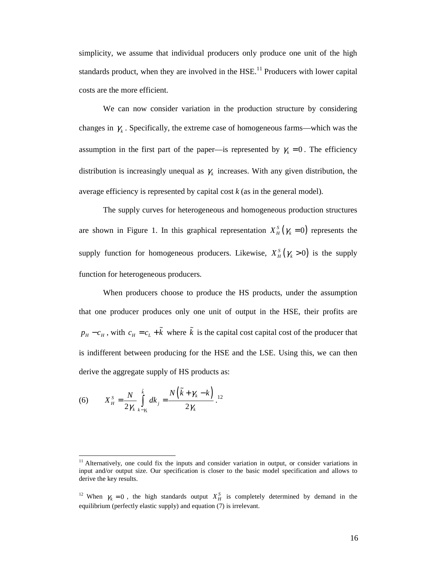simplicity, we assume that individual producers only produce one unit of the high standards product, when they are involved in the  $HSE<sup>11</sup>$  Producers with lower capital costs are the more efficient.

We can now consider variation in the production structure by considering changes in  $\gamma_k$ . Specifically, the extreme case of homogeneous farms—which was the assumption in the first part of the paper—is represented by  $\gamma_k = 0$ . The efficiency distribution is increasingly unequal as  $\gamma_k$  increases. With any given distribution, the average efficiency is represented by capital cost *k* (as in the general model).

The supply curves for heterogeneous and homogeneous production structures are shown in Figure 1. In this graphical representation  $X_H^S(\gamma_k = 0)$  represents the supply function for homogeneous producers. Likewise,  $X_H^S(\gamma_k > 0)$  is the supply function for heterogeneous producers.

When producers choose to produce the HS products, under the assumption that one producer produces only one unit of output in the HSE, their profits are  $p_H - c_H$ , with  $c_H = c_L + \tilde{k}$  where  $\tilde{k}$  is the capital cost capital cost of the producer that is indifferent between producing for the HSE and the LSE. Using this, we can then derive the aggregate supply of HS products as:

(6) 
$$
X_H^S = \frac{N}{2\gamma_k} \int_{k-\gamma_k}^{\tilde{k}} dk_j = \frac{N(\tilde{k} + \gamma_k - k)}{2\gamma_k}.
$$

<sup>&</sup>lt;sup>11</sup> Alternatively, one could fix the inputs and consider variation in output, or consider variations in input and/or output size. Our specification is closer to the basic model specification and allows to derive the key results.

<sup>&</sup>lt;sup>12</sup> When  $\gamma_k = 0$ , the high standards output  $X_H^S$  is completely determined by demand in the equilibrium (perfectly elastic supply) and equation (7) is irrelevant.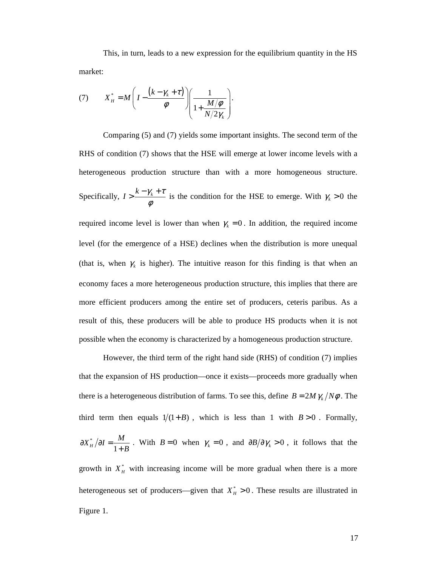This, in turn, leads to a new expression for the equilibrium quantity in the HS market:

(7) 
$$
X_H^* = M \left( I - \frac{(k - \gamma_k + \tau)}{\phi} \right) \left( \frac{1}{1 + \frac{M/\phi}{N/2\gamma_k}} \right).
$$

Comparing (5) and (7) yields some important insights. The second term of the RHS of condition (7) shows that the HSE will emerge at lower income levels with a heterogeneous production structure than with a more homogeneous structure. Specifically,  $I > \frac{k - \gamma_k + \tau}{i}$ φ  $>$  $\frac{k - \gamma_k + \tau}{4}$  is the condition for the HSE to emerge. With  $\gamma_k > 0$  the required income level is lower than when  $\gamma_k = 0$ . In addition, the required income level (for the emergence of a HSE) declines when the distribution is more unequal (that is, when  $\gamma_k$  is higher). The intuitive reason for this finding is that when an economy faces a more heterogeneous production structure, this implies that there are more efficient producers among the entire set of producers, ceteris paribus. As a result of this, these producers will be able to produce HS products when it is not possible when the economy is characterized by a homogeneous production structure.

However, the third term of the right hand side (RHS) of condition (7) implies that the expansion of HS production—once it exists—proceeds more gradually when there is a heterogeneous distribution of farms. To see this, define  $B = 2M \gamma_k / N\phi$ . The third term then equals  $1/(1+B)$ , which is less than 1 with  $B > 0$ . Formally, \*  $X_H^* / \partial I = \frac{M}{1+1}$ *B*  $\partial X^*_H / \partial I =$  $\frac{M}{+B}$ . With  $B=0$  when  $\gamma_k = 0$ , and  $\frac{\partial B}{\partial \gamma_k} > 0$ , it follows that the growth in  $X_H^*$  with increasing income will be more gradual when there is a more heterogeneous set of producers—given that  $X_H^* > 0$ . These results are illustrated in Figure 1.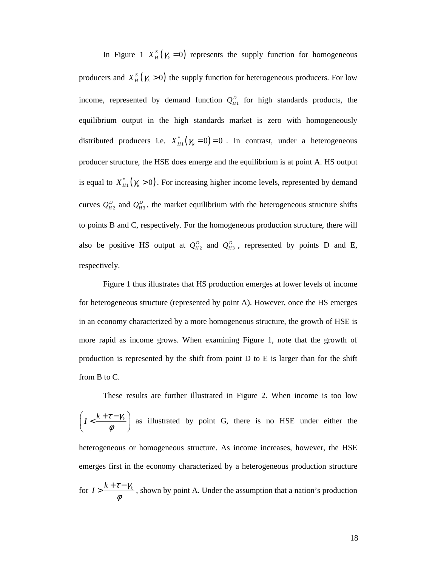In Figure 1  $X_H^S(\gamma_k = 0)$  represents the supply function for homogeneous producers and  $X_H^S(\gamma_k > 0)$  the supply function for heterogeneous producers. For low income, represented by demand function  $Q_{H1}^D$  for high standards products, the equilibrium output in the high standards market is zero with homogeneously distributed producers i.e.  $X_{H1}^* (\gamma_k = 0)$  $X_{H1}^*(\gamma_k = 0) = 0$ . In contrast, under a heterogeneous producer structure, the HSE does emerge and the equilibrium is at point A. HS output is equal to  $X_{H_1}^* (\gamma_k > 0)$ . For increasing higher income levels, represented by demand curves  $Q_{H_2}^D$  and  $Q_{H_3}^D$ , the market equilibrium with the heterogeneous structure shifts to points B and C, respectively. For the homogeneous production structure, there will also be positive HS output at  $Q_{H2}^D$  and  $Q_{H3}^D$ , represented by points D and E, respectively.

Figure 1 thus illustrates that HS production emerges at lower levels of income for heterogeneous structure (represented by point A). However, once the HS emerges in an economy characterized by a more homogeneous structure, the growth of HSE is more rapid as income grows. When examining Figure 1, note that the growth of production is represented by the shift from point D to E is larger than for the shift from B to C.

These results are further illustrated in Figure 2. When income is too low  $I < \frac{k+\tau-\gamma_k}{\sigma}$  $\left(I<\frac{k+\tau-\gamma_k}{\phi}\right)$  $\left(\begin{array}{cc} & \phi & \end{array}\right)$  as illustrated by point G, there is no HSE under either the heterogeneous or homogeneous structure. As income increases, however, the HSE emerges first in the economy characterized by a heterogeneous production structure for  $I > \frac{k + \tau - \gamma_k}{\sqrt{k}}$ φ  $>$   $\frac{k + \tau - \gamma_k}{k}$ , shown by point A. Under the assumption that a nation's production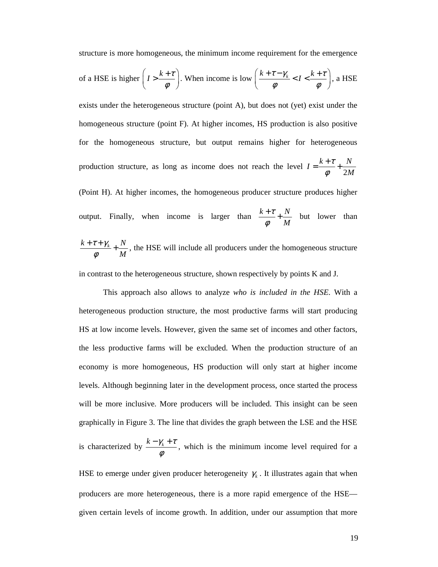structure is more homogeneous, the minimum income requirement for the emergence

of a HSE is higher 
$$
\left( I > \frac{k+\tau}{\phi} \right)
$$
. When income is low  $\left( \frac{k+\tau-\gamma_k}{\phi} < I < \frac{k+\tau}{\phi} \right)$ , a HSE

exists under the heterogeneous structure (point A), but does not (yet) exist under the homogeneous structure (point F). At higher incomes, HS production is also positive for the homogeneous structure, but output remains higher for heterogeneous production structure, as long as income does not reach the level 2  $I = \frac{k+\tau}{i} + \frac{N}{2k}$ *M* τ φ  $=\frac{k+\tau}{4}+$ (Point H). At higher incomes, the homogeneous producer structure produces higher output. Finally, when income is larger than  $\frac{k+\tau}{k} + \frac{N}{\tau}$ *M* τ φ  $+\frac{\tau}{\tau} + \frac{N}{\tau}$  but lower than  $k + \tau + \gamma_{k}$ <sup>*N*</sup> *M*  $\tau + \gamma$ φ  $+\tau + \gamma_k + N$ , the HSE will include all producers under the homogeneous structure

in contrast to the heterogeneous structure, shown respectively by points K and J.

This approach also allows to analyze *who is included in the HSE*. With a heterogeneous production structure, the most productive farms will start producing HS at low income levels. However, given the same set of incomes and other factors, the less productive farms will be excluded. When the production structure of an economy is more homogeneous, HS production will only start at higher income levels. Although beginning later in the development process, once started the process will be more inclusive. More producers will be included. This insight can be seen graphically in Figure 3. The line that divides the graph between the LSE and the HSE is characterized by  $\frac{k - \gamma_k + \tau}{\tau}$ φ  $-\gamma_k + \tau$ , which is the minimum income level required for a

HSE to emerge under given producer heterogeneity  $\gamma_k$ . It illustrates again that when producers are more heterogeneous, there is a more rapid emergence of the HSE given certain levels of income growth. In addition, under our assumption that more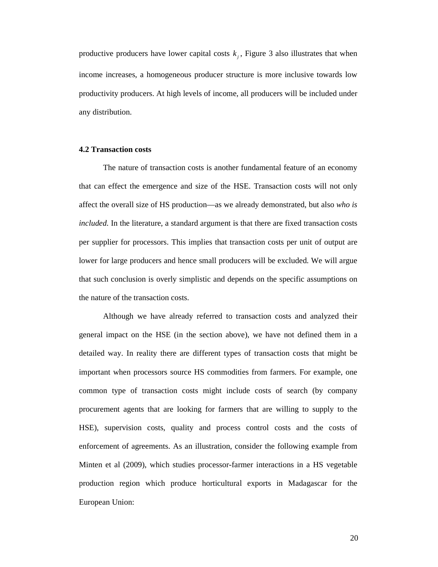productive producers have lower capital costs  $k_j$ , Figure 3 also illustrates that when income increases, a homogeneous producer structure is more inclusive towards low productivity producers. At high levels of income, all producers will be included under any distribution.

### **4.2 Transaction costs**

The nature of transaction costs is another fundamental feature of an economy that can effect the emergence and size of the HSE. Transaction costs will not only affect the overall size of HS production—as we already demonstrated, but also *who is included*. In the literature, a standard argument is that there are fixed transaction costs per supplier for processors. This implies that transaction costs per unit of output are lower for large producers and hence small producers will be excluded. We will argue that such conclusion is overly simplistic and depends on the specific assumptions on the nature of the transaction costs.

Although we have already referred to transaction costs and analyzed their general impact on the HSE (in the section above), we have not defined them in a detailed way. In reality there are different types of transaction costs that might be important when processors source HS commodities from farmers. For example, one common type of transaction costs might include costs of search (by company procurement agents that are looking for farmers that are willing to supply to the HSE), supervision costs, quality and process control costs and the costs of enforcement of agreements. As an illustration, consider the following example from Minten et al (2009), which studies processor-farmer interactions in a HS vegetable production region which produce horticultural exports in Madagascar for the European Union: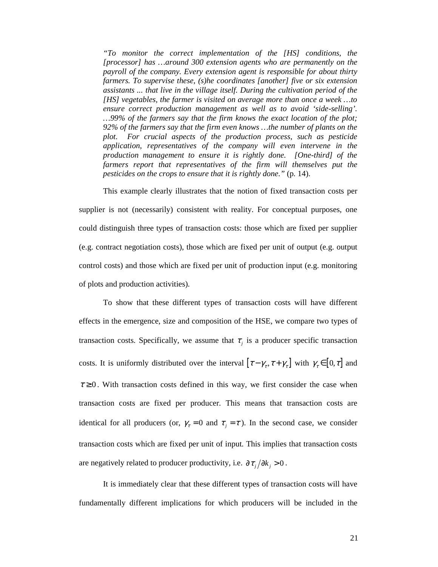*"To monitor the correct implementation of the [HS] conditions, the [processor] has …around 300 extension agents who are permanently on the payroll of the company. Every extension agent is responsible for about thirty farmers. To supervise these, (s)he coordinates [another] five or six extension assistants ... that live in the village itself. During the cultivation period of the [HS] vegetables, the farmer is visited on average more than once a week …to ensure correct production management as well as to avoid 'side-selling'. …99% of the farmers say that the firm knows the exact location of the plot; 92% of the farmers say that the firm even knows …the number of plants on the plot. For crucial aspects of the production process, such as pesticide application, representatives of the company will even intervene in the production management to ensure it is rightly done. [One-third] of the*  farmers report that representatives of the firm will themselves put the *pesticides on the crops to ensure that it is rightly done."* (p. 14).

This example clearly illustrates that the notion of fixed transaction costs per supplier is not (necessarily) consistent with reality. For conceptual purposes, one could distinguish three types of transaction costs: those which are fixed per supplier (e.g. contract negotiation costs), those which are fixed per unit of output (e.g. output control costs) and those which are fixed per unit of production input (e.g. monitoring of plots and production activities).

 To show that these different types of transaction costs will have different effects in the emergence, size and composition of the HSE, we compare two types of transaction costs. Specifically, we assume that  $\tau_j$  is a producer specific transaction costs. It is uniformly distributed over the interval  $[\tau-\gamma_\tau, \tau+\gamma_\tau]$  with  $\gamma_\tau \in [0, \tau]$  and  $\tau \geq 0$ . With transaction costs defined in this way, we first consider the case when transaction costs are fixed per producer. This means that transaction costs are identical for all producers (or,  $\gamma_{\tau} = 0$  and  $\tau_{j} = \tau$ ). In the second case, we consider transaction costs which are fixed per unit of input. This implies that transaction costs are negatively related to producer productivity, i.e.  $\partial \tau_i / \partial k_i > 0$ .

It is immediately clear that these different types of transaction costs will have fundamentally different implications for which producers will be included in the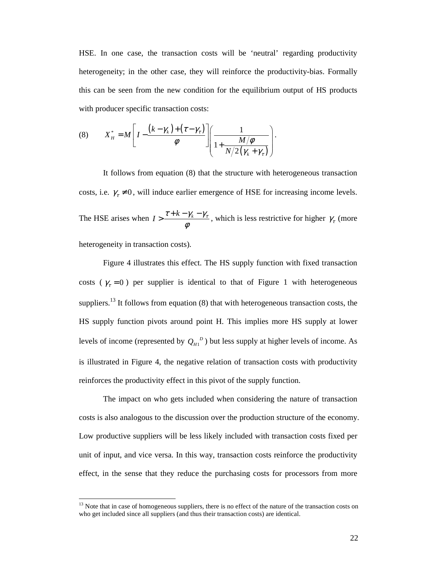HSE. In one case, the transaction costs will be 'neutral' regarding productivity heterogeneity; in the other case, they will reinforce the productivity-bias. Formally this can be seen from the new condition for the equilibrium output of HS products with producer specific transaction costs:

(8) 
$$
X_H^* = M \left[ I - \frac{(k - \gamma_k) + (\tau - \gamma_\tau)}{\phi} \right] \left( \frac{1}{1 + \frac{M/\phi}{N/2(\gamma_k + \gamma_\tau)}} \right).
$$

It follows from equation (8) that the structure with heterogeneous transaction costs, i.e.  $\gamma_z \neq 0$ , will induce earlier emergence of HSE for increasing income levels. The HSE arises when  $I > \frac{\tau + k - \gamma_k - \gamma_{\tau}}{k}$ φ  $\Rightarrow \frac{\tau + k - \gamma_k - \gamma_\tau}{\sqrt{k}}$ , which is less restrictive for higher  $\gamma_\tau$  (more heterogeneity in transaction costs).

Figure 4 illustrates this effect. The HS supply function with fixed transaction costs ( $\gamma_{\tau} = 0$ ) per supplier is identical to that of Figure 1 with heterogeneous suppliers.<sup>13</sup> It follows from equation  $(8)$  that with heterogeneous transaction costs, the HS supply function pivots around point H. This implies more HS supply at lower levels of income (represented by  $Q_{H1}^{D}$ ) but less supply at higher levels of income. As is illustrated in Figure 4, the negative relation of transaction costs with productivity reinforces the productivity effect in this pivot of the supply function.

The impact on who gets included when considering the nature of transaction costs is also analogous to the discussion over the production structure of the economy. Low productive suppliers will be less likely included with transaction costs fixed per unit of input, and vice versa. In this way, transaction costs reinforce the productivity effect, in the sense that they reduce the purchasing costs for processors from more

<sup>&</sup>lt;sup>13</sup> Note that in case of homogeneous suppliers, there is no effect of the nature of the transaction costs on who get included since all suppliers (and thus their transaction costs) are identical.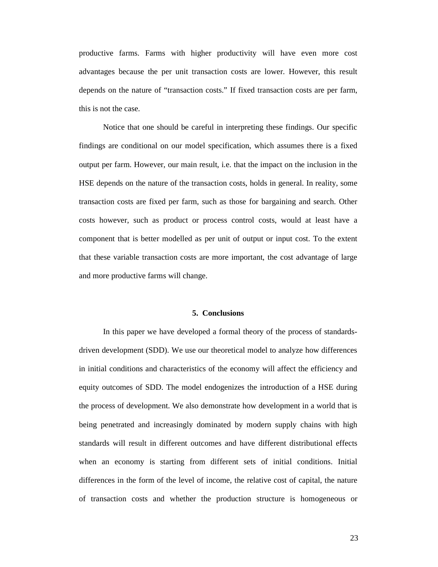productive farms. Farms with higher productivity will have even more cost advantages because the per unit transaction costs are lower. However, this result depends on the nature of "transaction costs." If fixed transaction costs are per farm, this is not the case.

Notice that one should be careful in interpreting these findings. Our specific findings are conditional on our model specification, which assumes there is a fixed output per farm. However, our main result, i.e. that the impact on the inclusion in the HSE depends on the nature of the transaction costs, holds in general. In reality, some transaction costs are fixed per farm, such as those for bargaining and search. Other costs however, such as product or process control costs, would at least have a component that is better modelled as per unit of output or input cost. To the extent that these variable transaction costs are more important, the cost advantage of large and more productive farms will change.

#### **5. Conclusions**

In this paper we have developed a formal theory of the process of standardsdriven development (SDD). We use our theoretical model to analyze how differences in initial conditions and characteristics of the economy will affect the efficiency and equity outcomes of SDD. The model endogenizes the introduction of a HSE during the process of development. We also demonstrate how development in a world that is being penetrated and increasingly dominated by modern supply chains with high standards will result in different outcomes and have different distributional effects when an economy is starting from different sets of initial conditions. Initial differences in the form of the level of income, the relative cost of capital, the nature of transaction costs and whether the production structure is homogeneous or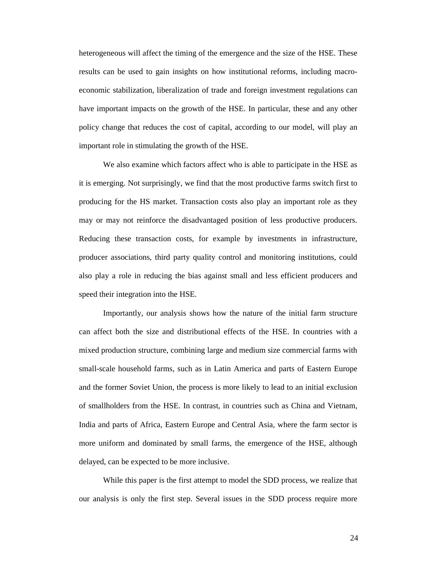heterogeneous will affect the timing of the emergence and the size of the HSE. These results can be used to gain insights on how institutional reforms, including macroeconomic stabilization, liberalization of trade and foreign investment regulations can have important impacts on the growth of the HSE. In particular, these and any other policy change that reduces the cost of capital, according to our model, will play an important role in stimulating the growth of the HSE.

We also examine which factors affect who is able to participate in the HSE as it is emerging. Not surprisingly, we find that the most productive farms switch first to producing for the HS market. Transaction costs also play an important role as they may or may not reinforce the disadvantaged position of less productive producers. Reducing these transaction costs, for example by investments in infrastructure, producer associations, third party quality control and monitoring institutions, could also play a role in reducing the bias against small and less efficient producers and speed their integration into the HSE.

Importantly, our analysis shows how the nature of the initial farm structure can affect both the size and distributional effects of the HSE. In countries with a mixed production structure, combining large and medium size commercial farms with small-scale household farms, such as in Latin America and parts of Eastern Europe and the former Soviet Union, the process is more likely to lead to an initial exclusion of smallholders from the HSE. In contrast, in countries such as China and Vietnam, India and parts of Africa, Eastern Europe and Central Asia, where the farm sector is more uniform and dominated by small farms, the emergence of the HSE, although delayed, can be expected to be more inclusive.

While this paper is the first attempt to model the SDD process, we realize that our analysis is only the first step. Several issues in the SDD process require more

24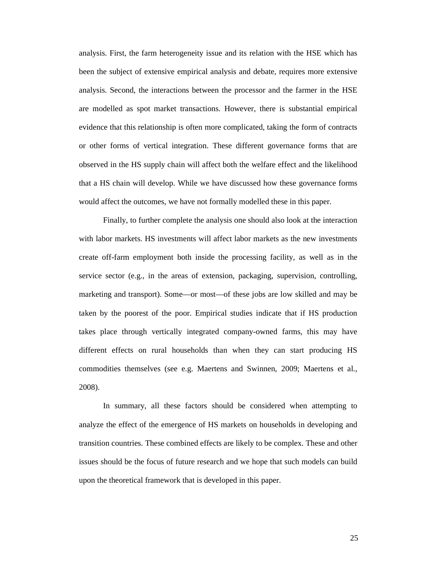analysis. First, the farm heterogeneity issue and its relation with the HSE which has been the subject of extensive empirical analysis and debate, requires more extensive analysis. Second, the interactions between the processor and the farmer in the HSE are modelled as spot market transactions. However, there is substantial empirical evidence that this relationship is often more complicated, taking the form of contracts or other forms of vertical integration. These different governance forms that are observed in the HS supply chain will affect both the welfare effect and the likelihood that a HS chain will develop. While we have discussed how these governance forms would affect the outcomes, we have not formally modelled these in this paper.

Finally, to further complete the analysis one should also look at the interaction with labor markets. HS investments will affect labor markets as the new investments create off-farm employment both inside the processing facility, as well as in the service sector (e.g., in the areas of extension, packaging, supervision, controlling, marketing and transport). Some—or most—of these jobs are low skilled and may be taken by the poorest of the poor. Empirical studies indicate that if HS production takes place through vertically integrated company-owned farms, this may have different effects on rural households than when they can start producing HS commodities themselves (see e.g. Maertens and Swinnen, 2009; Maertens et al., 2008).

In summary, all these factors should be considered when attempting to analyze the effect of the emergence of HS markets on households in developing and transition countries. These combined effects are likely to be complex. These and other issues should be the focus of future research and we hope that such models can build upon the theoretical framework that is developed in this paper.

25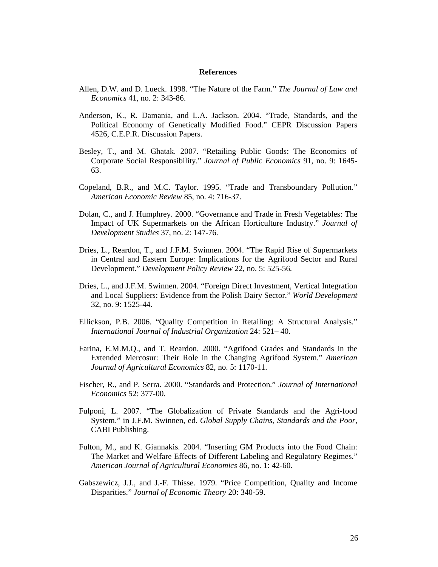#### **References**

- Allen, D.W. and D. Lueck. 1998. "The Nature of the Farm." *The Journal of Law and Economics* 41, no. 2: 343-86.
- Anderson, K., R. Damania, and L.A. Jackson. 2004. "Trade, Standards, and the Political Economy of Genetically Modified Food." CEPR Discussion Papers 4526, C.E.P.R. Discussion Papers.
- Besley, T., and M. Ghatak. 2007. "Retailing Public Goods: The Economics of Corporate Social Responsibility." *Journal of Public Economics* 91, no. 9: 1645- 63.
- Copeland, B.R., and M.C. Taylor. 1995. "Trade and Transboundary Pollution." *American Economic Review* 85, no. 4: 716-37.
- Dolan, C., and J. Humphrey. 2000. "Governance and Trade in Fresh Vegetables: The Impact of UK Supermarkets on the African Horticulture Industry." *Journal of Development Studies* 37, no. 2: 147-76.
- Dries, L., Reardon, T., and J.F.M. Swinnen. 2004. "The Rapid Rise of Supermarkets in Central and Eastern Europe: Implications for the Agrifood Sector and Rural Development." *Development Policy Review* 22, no. 5: 525-56.
- Dries, L., and J.F.M. Swinnen. 2004. "Foreign Direct Investment, Vertical Integration and Local Suppliers: Evidence from the Polish Dairy Sector." *World Development* 32, no. 9: 1525-44.
- Ellickson, P.B. 2006. "Quality Competition in Retailing: A Structural Analysis." *International Journal of Industrial Organization* 24: 521– 40.
- Farina, E.M.M.Q., and T. Reardon. 2000. "Agrifood Grades and Standards in the Extended Mercosur: Their Role in the Changing Agrifood System." *American Journal of Agricultural Economics* 82, no. 5: 1170-11.
- Fischer, R., and P. Serra. 2000. "Standards and Protection." *Journal of International Economics* 52: 377-00.
- Fulponi, L. 2007. "The Globalization of Private Standards and the Agri-food System." in J.F.M. Swinnen, ed. *Global Supply Chains, Standards and the Poor*, CABI Publishing.
- Fulton, M., and K. Giannakis. 2004. "Inserting GM Products into the Food Chain: The Market and Welfare Effects of Different Labeling and Regulatory Regimes." *American Journal of Agricultural Economics* 86, no. 1: 42-60.
- Gabszewicz, J.J., and J.-F. Thisse. 1979. "Price Competition, Quality and Income Disparities." *Journal of Economic Theory* 20: 340-59.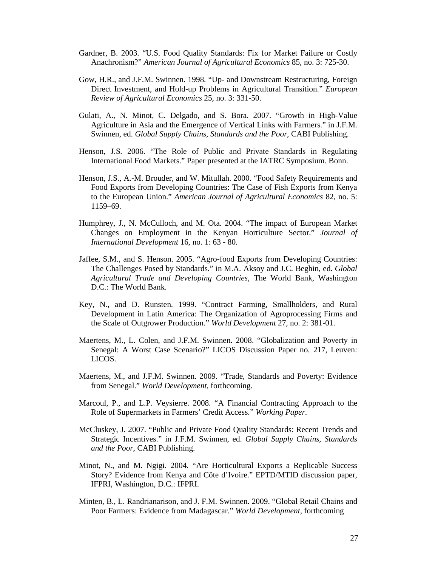- Gardner, B. 2003. "U.S. Food Quality Standards: Fix for Market Failure or Costly Anachronism?" *American Journal of Agricultural Economics* 85, no. 3: 725-30.
- Gow, H.R., and J.F.M. Swinnen. 1998. "Up- and Downstream Restructuring, Foreign Direct Investment, and Hold-up Problems in Agricultural Transition." *European Review of Agricultural Economics* 25, no. 3: 331-50.
- Gulati, A., N. Minot, C. Delgado, and S. Bora. 2007. "Growth in High-Value Agriculture in Asia and the Emergence of Vertical Links with Farmers." in J.F.M. Swinnen, ed. *Global Supply Chains, Standards and the Poor*, CABI Publishing.
- Henson, J.S. 2006. "The Role of Public and Private Standards in Regulating International Food Markets." Paper presented at the IATRC Symposium. Bonn.
- Henson, J.S., A.-M. Brouder, and W. Mitullah. 2000. "Food Safety Requirements and Food Exports from Developing Countries: The Case of Fish Exports from Kenya to the European Union." *American Journal of Agricultural Economics* 82, no. 5: 1159–69.
- Humphrey, J., N. McCulloch, and M. Ota. 2004. "The impact of European Market Changes on Employment in the Kenyan Horticulture Sector." *Journal of International Development* 16, no. 1: 63 - 80.
- Jaffee, S.M., and S. Henson. 2005. "Agro-food Exports from Developing Countries: The Challenges Posed by Standards." in M.A. Aksoy and J.C. Beghin, ed. *Global Agricultural Trade and Developing Countries*, The World Bank, Washington D.C.: The World Bank.
- Key, N., and D. Runsten. 1999. "Contract Farming, Smallholders, and Rural Development in Latin America: The Organization of Agroprocessing Firms and the Scale of Outgrower Production." *World Development* 27, no. 2: 381-01.
- Maertens, M., L. Colen, and J.F.M. Swinnen. 2008. "Globalization and Poverty in Senegal: A Worst Case Scenario?" LICOS Discussion Paper no. 217, Leuven: LICOS.
- Maertens, M., and J.F.M. Swinnen. 2009. "Trade, Standards and Poverty: Evidence from Senegal." *World Development*, forthcoming.
- Marcoul, P., and L.P. Veysierre. 2008. "A Financial Contracting Approach to the Role of Supermarkets in Farmers' Credit Access." *Working Paper*.
- McCluskey, J. 2007. "Public and Private Food Quality Standards: Recent Trends and Strategic Incentives." in J.F.M. Swinnen, ed. *Global Supply Chains, Standards and the Poor*, CABI Publishing.
- Minot, N., and M. Ngigi. 2004. "Are Horticultural Exports a Replicable Success Story? Evidence from Kenya and Côte d'Ivoire." EPTD/MTID discussion paper, IFPRI, Washington, D.C.: IFPRI.
- Minten, B., L. Randrianarison, and J. F.M. Swinnen. 2009. "Global Retail Chains and Poor Farmers: Evidence from Madagascar." *World Development*, forthcoming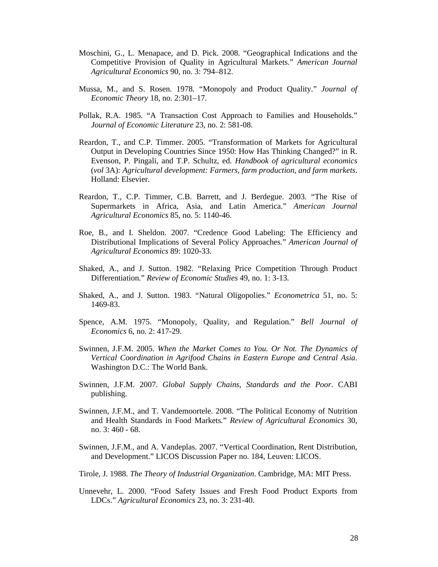- Moschini, G., L. Menapace, and D. Pick. 2008. "Geographical Indications and the Competitive Provision of Quality in Agricultural Markets." *American Journal Agricultural Economics* 90, no. 3: 794–812.
- Mussa, M., and S. Rosen. 1978. "Monopoly and Product Quality." *Journal of Economic Theory* 18, no. 2:301–17.
- Pollak, R.A. 1985. "A Transaction Cost Approach to Families and Households." *Journal of Economic Literature* 23, no. 2: 581-08.
- Reardon, T., and C.P. Timmer. 2005. "Transformation of Markets for Agricultural Output in Developing Countries Since 1950: How Has Thinking Changed?" in R. Evenson, P. Pingali, and T.P. Schultz, ed. *Handbook of agricultural economics* (*vol* 3A): *Agricultural development: Farmers, farm production, and farm markets*. Holland: Elsevier.
- Reardon, T., C.P. Timmer, C.B. Barrett, and J. Berdegue. 2003. "The Rise of Supermarkets in Africa, Asia, and Latin America." *American Journal Agricultural Economics* 85, no. 5: 1140-46.
- Roe, B., and I. Sheldon. 2007. "Credence Good Labeling: The Efficiency and Distributional Implications of Several Policy Approaches." *American Journal of Agricultural Economics* 89: 1020-33.
- Shaked, A., and J. Sutton. 1982. "Relaxing Price Competition Through Product Differentiation." *Review of Economic Studies* 49, no. 1: 3-13.
- Shaked, A., and J. Sutton. 1983. "Natural Oligopolies." *Econometrica* 51, no. 5: 1469-83.
- Spence, A.M. 1975. "Monopoly, Quality, and Regulation." *Bell Journal of Economics* 6, no. 2: 417-29.
- Swinnen, J.F.M. 2005. *When the Market Comes to You. Or Not. The Dynamics of Vertical Coordination in Agrifood Chains in Eastern Europe and Central Asia*. Washington D.C.: The World Bank.
- Swinnen, J.F.M. 2007. *Global Supply Chains, Standards and the Poor*. CABI publishing.
- Swinnen, J.F.M., and T. Vandemoortele. 2008. "The Political Economy of Nutrition and Health Standards in Food Markets." *Review of Agricultural Economics* 30, no. 3: 460 - 68.
- Swinnen, J.F.M., and A. Vandeplas. 2007. "Vertical Coordination, Rent Distribution, and Development." LICOS Discussion Paper no. 184, Leuven: LICOS.
- Tirole, J. 1988. *The Theory of Industrial Organization*. Cambridge, MA: MIT Press.
- Unnevehr, L. 2000. "Food Safety Issues and Fresh Food Product Exports from LDCs." *Agricultural Economics* 23, no. 3: 231-40.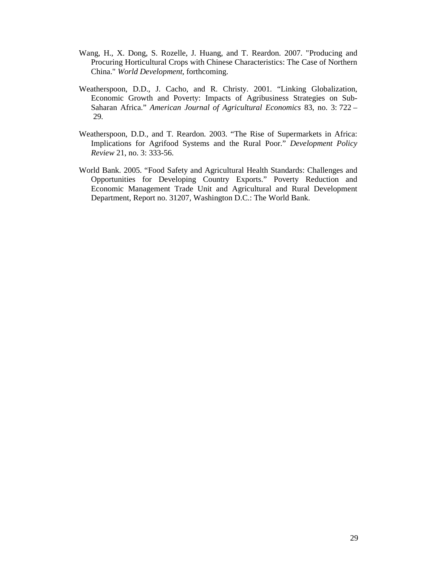- Wang, H., X. Dong, S. Rozelle, J. Huang, and T. Reardon. 2007. "Producing and Procuring Horticultural Crops with Chinese Characteristics: The Case of Northern China." *World Development,* forthcoming.
- Weatherspoon, D.D., J. Cacho, and R. Christy. 2001. "Linking Globalization, Economic Growth and Poverty: Impacts of Agribusiness Strategies on Sub-Saharan Africa." *American Journal of Agricultural Economics* 83, no. 3: 722 – 29.
- Weatherspoon, D.D., and T. Reardon. 2003. "The Rise of Supermarkets in Africa: Implications for Agrifood Systems and the Rural Poor." *Development Policy Review* 21, no. 3: 333-56.
- World Bank. 2005. "Food Safety and Agricultural Health Standards: Challenges and Opportunities for Developing Country Exports." Poverty Reduction and Economic Management Trade Unit and Agricultural and Rural Development Department, Report no. 31207, Washington D.C.: The World Bank.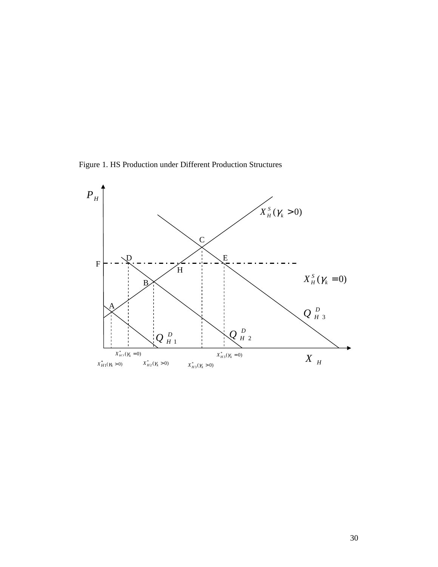Figure 1. HS Production under Different Production Structures

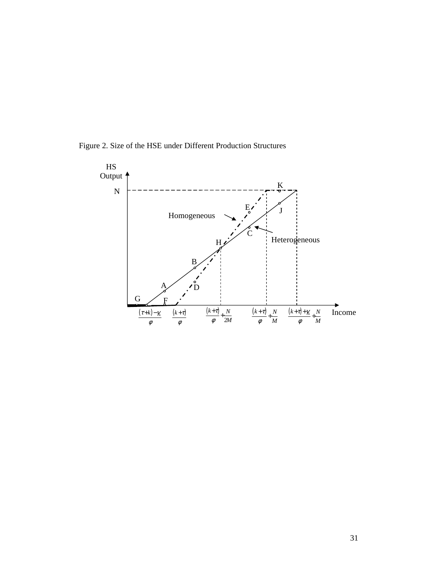Figure 2. Size of the HSE under Different Production Structures

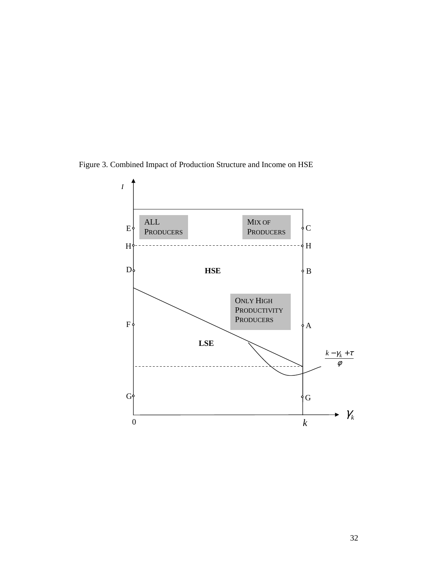